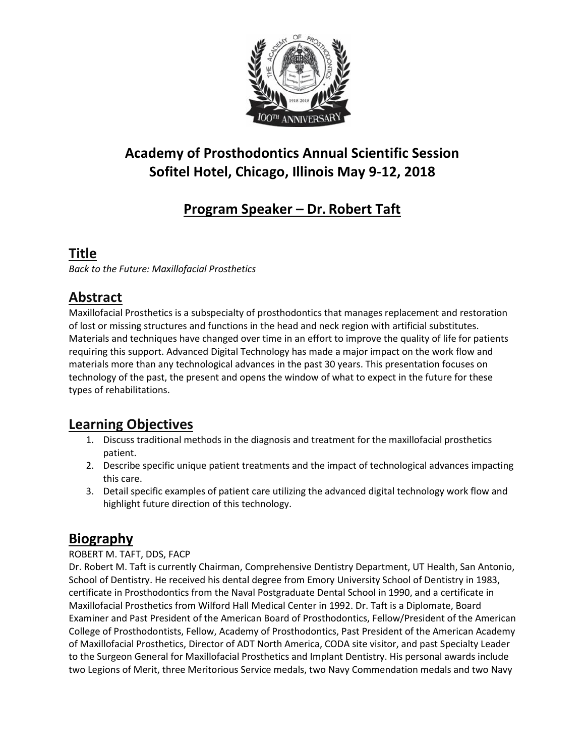

# **Academy of Prosthodontics Annual Scientific Session Sofitel Hotel, Chicago, Illinois May 9-12, 2018**

# **Program Speaker – Dr. Robert Taft**

### **Title**

*Back to the Future: Maxillofacial Prosthetics*

# **Abstract**

Maxillofacial Prosthetics is a subspecialty of prosthodontics that manages replacement and restoration of lost or missing structures and functions in the head and neck region with artificial substitutes. Materials and techniques have changed over time in an effort to improve the quality of life for patients requiring this support. Advanced Digital Technology has made a major impact on the work flow and materials more than any technological advances in the past 30 years. This presentation focuses on technology of the past, the present and opens the window of what to expect in the future for these types of rehabilitations.

## **Learning Objectives**

- 1. Discuss traditional methods in the diagnosis and treatment for the maxillofacial prosthetics patient.
- 2. Describe specific unique patient treatments and the impact of technological advances impacting this care.
- 3. Detail specific examples of patient care utilizing the advanced digital technology work flow and highlight future direction of this technology.

## **Biography**

#### ROBERT M. TAFT, DDS, FACP

Dr. Robert M. Taft is currently Chairman, Comprehensive Dentistry Department, UT Health, San Antonio, School of Dentistry. He received his dental degree from Emory University School of Dentistry in 1983, certificate in Prosthodontics from the Naval Postgraduate Dental School in 1990, and a certificate in Maxillofacial Prosthetics from Wilford Hall Medical Center in 1992. Dr. Taft is a Diplomate, Board Examiner and Past President of the American Board of Prosthodontics, Fellow/President of the American College of Prosthodontists, Fellow, Academy of Prosthodontics, Past President of the American Academy of Maxillofacial Prosthetics, Director of ADT North America, CODA site visitor, and past Specialty Leader to the Surgeon General for Maxillofacial Prosthetics and Implant Dentistry. His personal awards include two Legions of Merit, three Meritorious Service medals, two Navy Commendation medals and two Navy